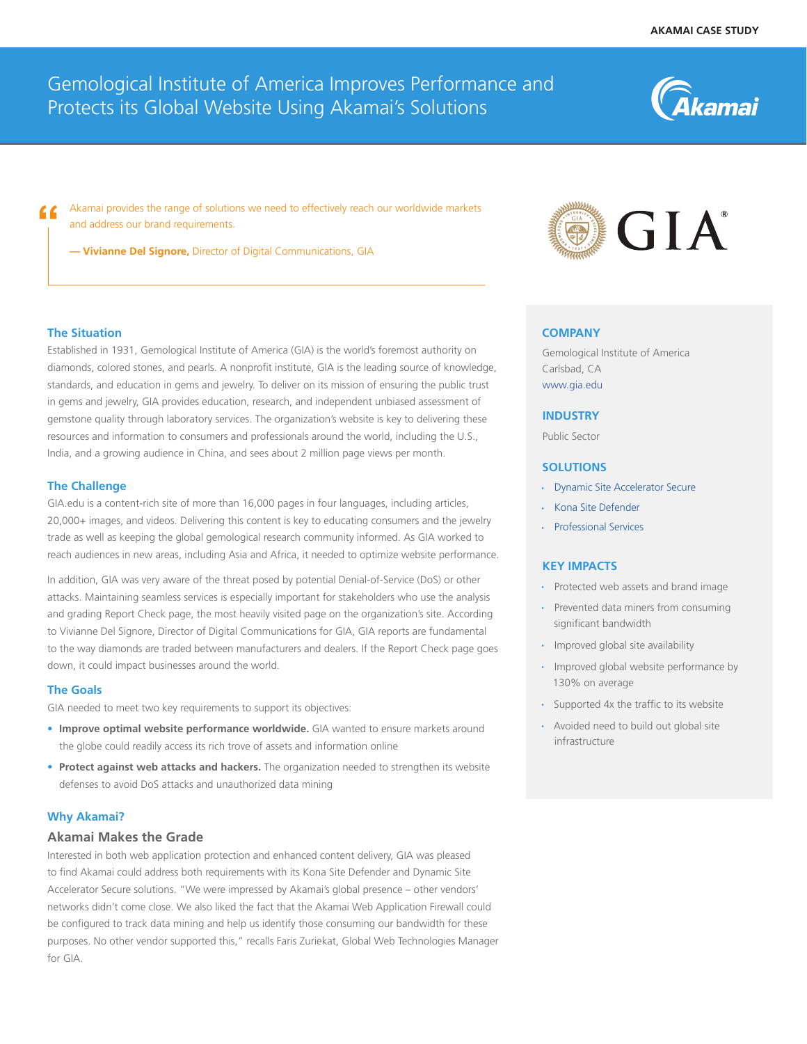<u> Akamai</u>

# Gemological Institute of America Improves Performance and Protects its Global Website Using Akamai's Solutions

Akamai provides the range of solutions we need to effectively reach our worldwide markets and address our brand requirements.

**— Vivianne Del Signore,** Director of Digital Communications, GIA

# **The Situation**

Established in 1931, Gemological Institute of America (GIA) is the world's foremost authority on diamonds, colored stones, and pearls. A nonprofit institute, GIA is the leading source of knowledge, standards, and education in gems and jewelry. To deliver on its mission of ensuring the public trust in gems and jewelry, GIA provides education, research, and independent unbiased assessment of gemstone quality through laboratory services. The organization's website is key to delivering these resources and information to consumers and professionals around the world, including the U.S., India, and a growing audience in China, and sees about 2 million page views per month.

## **The Challenge**

GIA.edu is a content-rich site of more than 16,000 pages in four languages, including articles, 20,000+ images, and videos. Delivering this content is key to educating consumers and the jewelry trade as well as keeping the global gemological research community informed. As GIA worked to reach audiences in new areas, including Asia and Africa, it needed to optimize website performance.

In addition, GIA was very aware of the threat posed by potential Denial-of-Service (DoS) or other attacks. Maintaining seamless services is especially important for stakeholders who use the analysis and grading Report Check page, the most heavily visited page on the organization's site. According to Vivianne Del Signore, Director of Digital Communications for GIA, GIA reports are fundamental to the way diamonds are traded between manufacturers and dealers. If the Report Check page goes down, it could impact businesses around the world.

#### **The Goals**

GIA needed to meet two key requirements to support its objectives:

- Improve optimal website performance worldwide. GIA wanted to ensure markets around the globe could readily access its rich trove of assets and information online
- **•** Protect against web attacks and hackers. The organization needed to strengthen its website defenses to avoid DoS attacks and unauthorized data mining

#### **Why Akamai?**

# **Akamai Makes the Grade**

Interested in both web application protection and enhanced content delivery, GIA was pleased to find Akamai could address both requirements with its Kona Site Defender and Dynamic Site Accelerator Secure solutions. "We were impressed by Akamai's global presence – other vendors' networks didn't come close. We also liked the fact that the Akamai Web Application Firewall could be configured to track data mining and help us identify those consuming our bandwidth for these purposes. No other vendor supported this," recalls Faris Zuriekat, Global Web Technologies Manager for GIA.



#### **COMPANY**

Gemological Institute of America Carlsbad, CA www.gia.edu

#### **INDUSTRY**

Public Sector

# **SOLUTIONS**

- [Dynamic Site Accelerator](https://www.akamai.com/us/en/solutions/products/web-performance/dynamic-site-accelerator.jsp) Secure
- [Kona Site Defender](https://www.akamai.com/us/en/solutions/products/cloud-security/kona-site-defender.jsp)
- [Professional Services](https://www.akamai.com/us/en/solutions/products/services-support/premium-service-support.jsp)

#### **KEY IMPACTS**

- Protected web assets and brand image
- Prevented data miners from consuming significant bandwidth
- Improved global site availability
- Improved global website performance by 130% on average
- Supported 4x the traffic to its website
- Avoided need to build out global site infrastructure